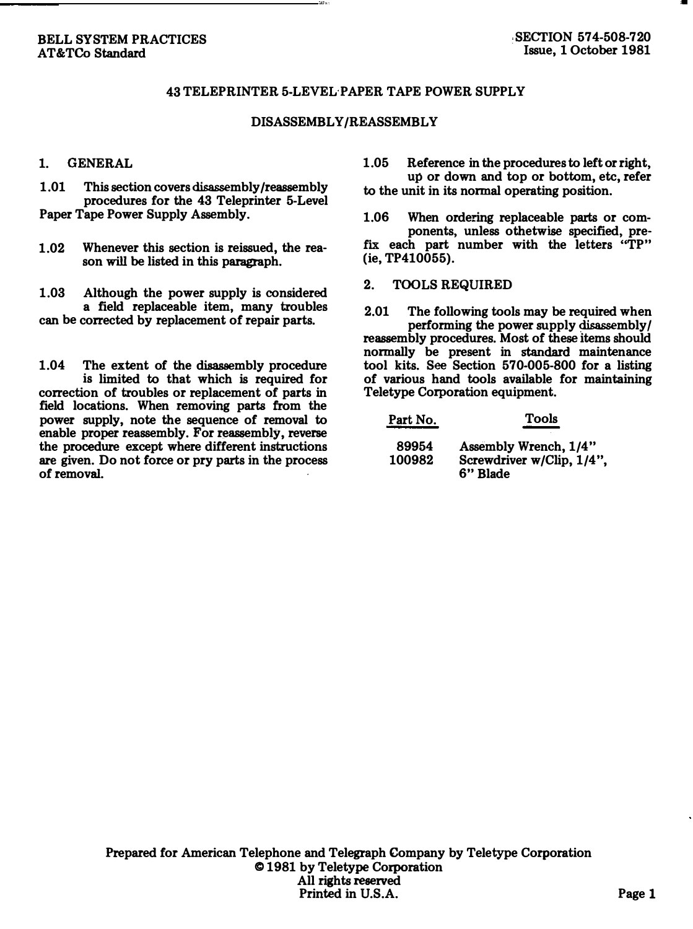## 43 TELEPRINTER 5-LEVEL PAPER TAPE POWER SUPPLY

## DISASSEMBLY/REASSEMBLY

## 1. GENERAL

1.01 This section covers disassembly /reassembly procedures for the 43 Teleprinter 5-Level Paper Tape Power Supply Assembly.

1.02 Whenever this section is reissued, the reason will be listed in this paragraph.

1.03 Although the power supply is considered a field replaceable item, many troubles can be corrected by replacement of repair parts.

1.04 The extent of the disassembly procedure is limited to that which is required for correction of troubles or replacement of parts in field locations. When removing parts from the power supply, note the sequence of removal to enable proper reassembly. For reassembly, reverse the procedure except where different instructions are given. Do not force or pry parts in the process of removal.

1.05 Reference in the procedures to left or right, up or down and top or bottom, etc, refer to the unit in its normal operating position.

1.06 When ordering replaceable parts or components, unless othetwise specified, prefix each part number with the letters "TP" (ie, TP410055).

2. TOOLS REQUIRED

2.01 The following tools may be required when performing the power supply disassembly/ reassembly procedures. Most of these items should normally be present in standard maintenance tool kits. See Section 570-005-800 for a listing of various hand tools available for maintaining Teletype Corporation equipment.

| Part No.        | Tools                                                          |
|-----------------|----------------------------------------------------------------|
| 89954<br>100982 | Assembly Wrench, 1/4"<br>Screwdriver w/Clip, 1/4",<br>6" Blade |